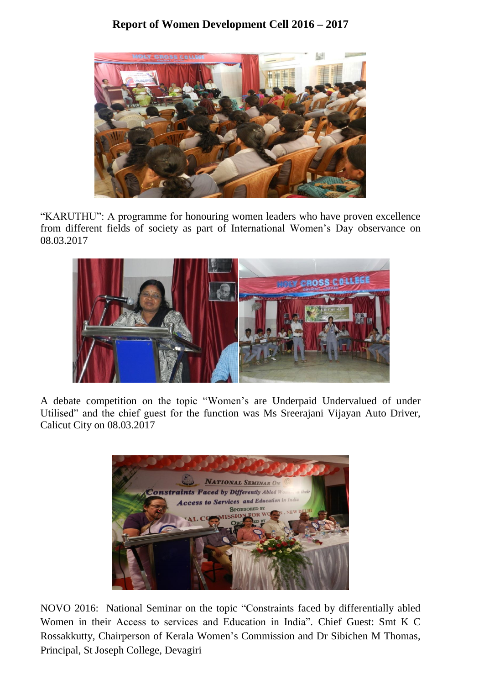## **Report of Women Development Cell 2016 – 2017**



"KARUTHU": A programme for honouring women leaders who have proven excellence from different fields of society as part of International Women's Day observance on 08.03.2017



A debate competition on the topic "Women's are Underpaid Undervalued of under Utilised" and the chief guest for the function was Ms Sreerajani Vijayan Auto Driver, Calicut City on 08.03.2017



NOVO 2016: National Seminar on the topic "Constraints faced by differentially abled Women in their Access to services and Education in India". Chief Guest: Smt K C Rossakkutty, Chairperson of Kerala Women's Commission and Dr Sibichen M Thomas, Principal, St Joseph College, Devagiri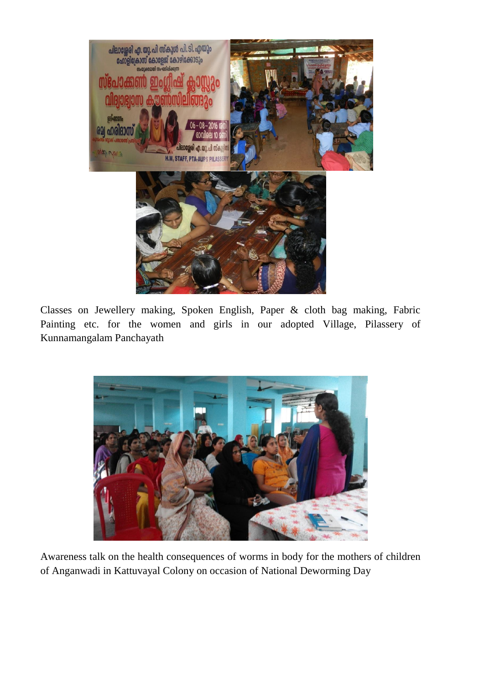

Classes on Jewellery making, Spoken English, Paper & cloth bag making, Fabric Painting etc. for the women and girls in our adopted Village, Pilassery of Kunnamangalam Panchayath



Awareness talk on the health consequences of worms in body for the mothers of children of Anganwadi in Kattuvayal Colony on occasion of National Deworming Day